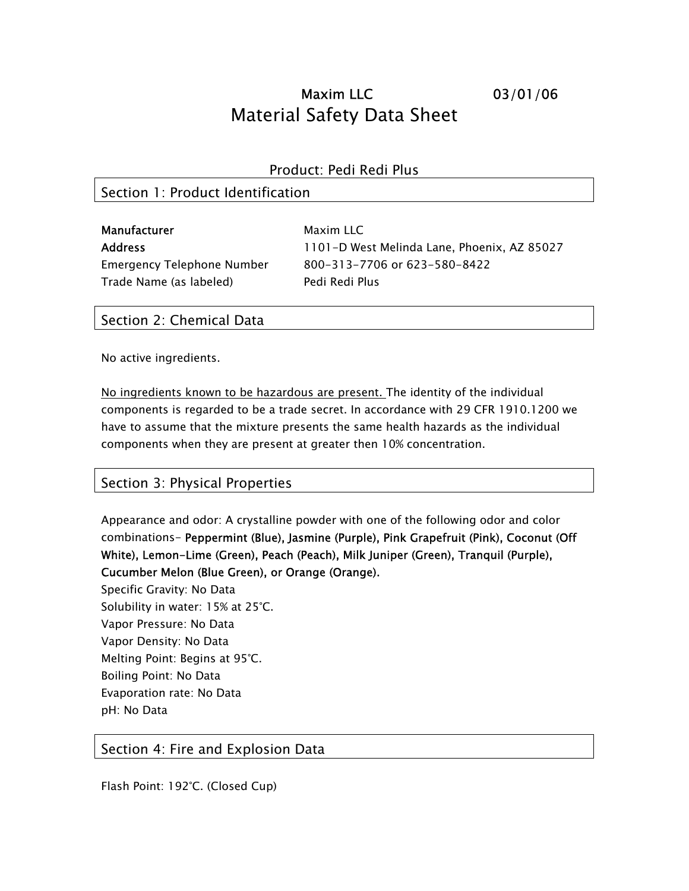# Maxim LLC 03/01/06 Material Safety Data Sheet

#### Product: Pedi Redi Plus

### Section 1: Product Identification

| Manufacturer                      | Maxim LLC                                   |
|-----------------------------------|---------------------------------------------|
| <b>Address</b>                    | 1101-D West Melinda Lane, Phoenix, AZ 85027 |
| <b>Emergency Telephone Number</b> | 800-313-7706 or 623-580-8422                |
| Trade Name (as labeled)           | Pedi Redi Plus                              |

### Section 2: Chemical Data

No active ingredients.

No ingredients known to be hazardous are present. The identity of the individual components is regarded to be a trade secret. In accordance with 29 CFR 1910.1200 we have to assume that the mixture presents the same health hazards as the individual components when they are present at greater then 10% concentration.

### Section 3: Physical Properties

Appearance and odor: A crystalline powder with one of the following odor and color combinations- Peppermint (Blue), Jasmine (Purple), Pink Grapefruit (Pink), Coconut (Off White), Lemon-Lime (Green), Peach (Peach), Milk Juniper (Green), Tranquil (Purple), Cucumber Melon (Blue Green), or Orange (Orange).

Specific Gravity: No Data Solubility in water: 15% at 25°C. Vapor Pressure: No Data Vapor Density: No Data Melting Point: Begins at 95°C. Boiling Point: No Data Evaporation rate: No Data pH: No Data

Section 4: Fire and Explosion Data

Flash Point: 192°C. (Closed Cup)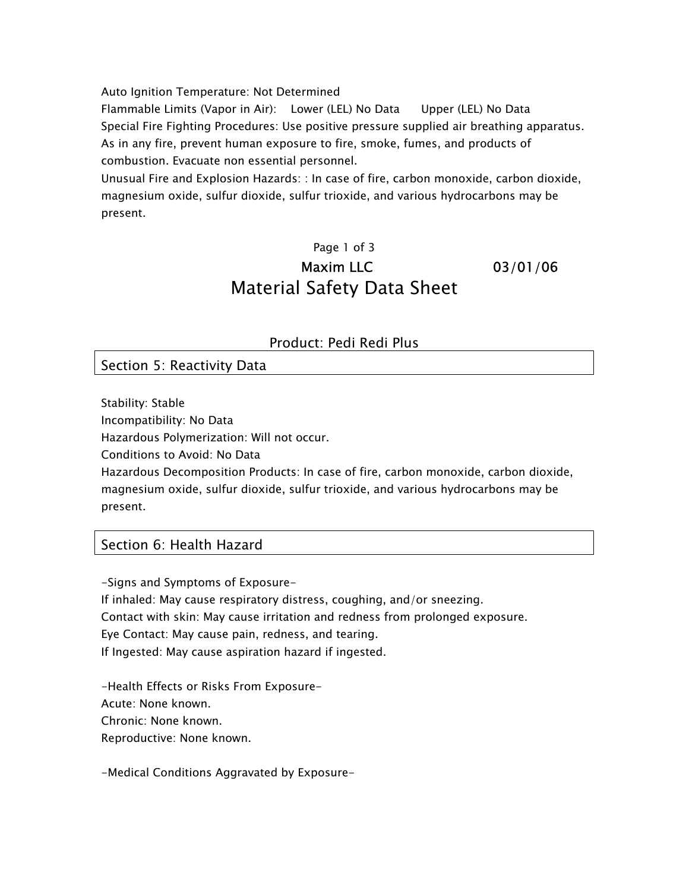Auto Ignition Temperature: Not Determined

Flammable Limits (Vapor in Air): Lower (LEL) No Data Upper (LEL) No Data Special Fire Fighting Procedures: Use positive pressure supplied air breathing apparatus. As in any fire, prevent human exposure to fire, smoke, fumes, and products of combustion. Evacuate non essential personnel.

Unusual Fire and Explosion Hazards: : In case of fire, carbon monoxide, carbon dioxide, magnesium oxide, sulfur dioxide, sulfur trioxide, and various hydrocarbons may be present.

## Page 1 of 3 Maxim LLC 03/01/06 Material Safety Data Sheet

Product: Pedi Redi Plus

Section 5: Reactivity Data

Stability: Stable

Incompatibility: No Data

Hazardous Polymerization: Will not occur.

Conditions to Avoid: No Data

Hazardous Decomposition Products: In case of fire, carbon monoxide, carbon dioxide, magnesium oxide, sulfur dioxide, sulfur trioxide, and various hydrocarbons may be present.

### Section 6: Health Hazard

-Signs and Symptoms of Exposure-If inhaled: May cause respiratory distress, coughing, and/or sneezing. Contact with skin: May cause irritation and redness from prolonged exposure. Eye Contact: May cause pain, redness, and tearing. If Ingested: May cause aspiration hazard if ingested.

-Health Effects or Risks From Exposure-Acute: None known. Chronic: None known. Reproductive: None known.

-Medical Conditions Aggravated by Exposure-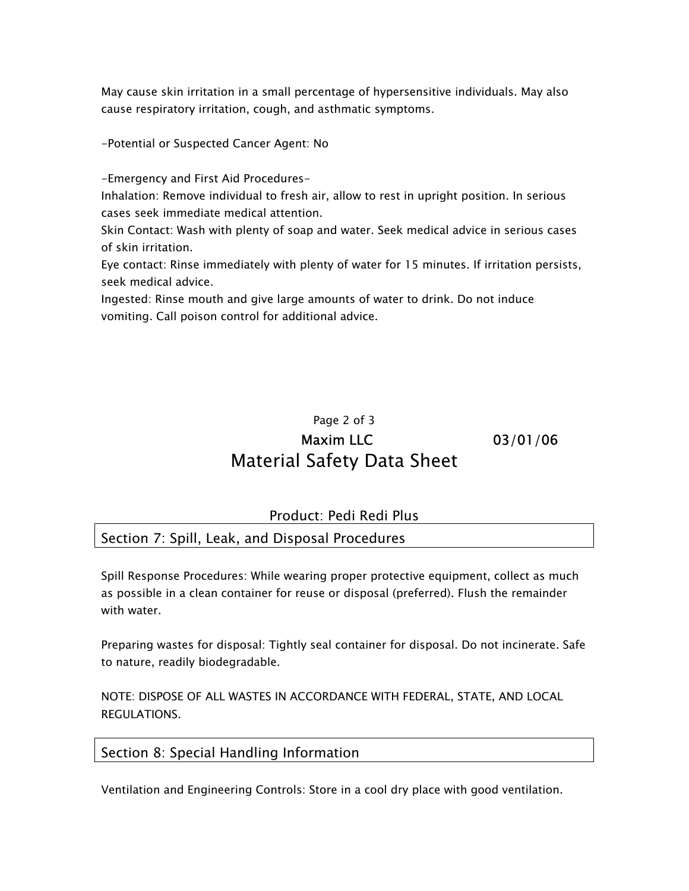May cause skin irritation in a small percentage of hypersensitive individuals. May also cause respiratory irritation, cough, and asthmatic symptoms.

-Potential or Suspected Cancer Agent: No

-Emergency and First Aid Procedures-

Inhalation: Remove individual to fresh air, allow to rest in upright position. In serious cases seek immediate medical attention.

Skin Contact: Wash with plenty of soap and water. Seek medical advice in serious cases of skin irritation.

Eye contact: Rinse immediately with plenty of water for 15 minutes. If irritation persists, seek medical advice.

Ingested: Rinse mouth and give large amounts of water to drink. Do not induce vomiting. Call poison control for additional advice.

### Page 2 of 3 Maxim LLC 03/01/06 Material Safety Data Sheet

### Product: Pedi Redi Plus

Section 7: Spill, Leak, and Disposal Procedures

Spill Response Procedures: While wearing proper protective equipment, collect as much as possible in a clean container for reuse or disposal (preferred). Flush the remainder with water.

Preparing wastes for disposal: Tightly seal container for disposal. Do not incinerate. Safe to nature, readily biodegradable.

NOTE: DISPOSE OF ALL WASTES IN ACCORDANCE WITH FEDERAL, STATE, AND LOCAL REGULATIONS.

#### Section 8: Special Handling Information

Ventilation and Engineering Controls: Store in a cool dry place with good ventilation.